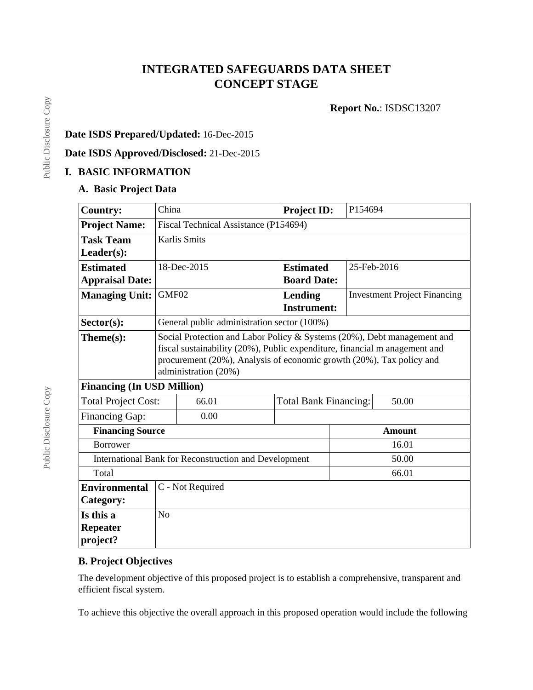# **INTEGRATED SAFEGUARDS DATA SHEET CONCEPT STAGE**

**Report No.**: ISDSC13207

## **Date ISDS Prepared/Updated:** 16-Dec-2015

**Date ISDS Approved/Disclosed:** 21-Dec-2015

# **I. BASIC INFORMATION**

## **A. Basic Project Data**

| <b>Country:</b>                                       | China                                                                                                                                                                                                                                                 | <b>Project ID:</b>                          |                                      | P154694                               |  |  |
|-------------------------------------------------------|-------------------------------------------------------------------------------------------------------------------------------------------------------------------------------------------------------------------------------------------------------|---------------------------------------------|--------------------------------------|---------------------------------------|--|--|
| <b>Project Name:</b>                                  | Fiscal Technical Assistance (P154694)                                                                                                                                                                                                                 |                                             |                                      |                                       |  |  |
| <b>Task Team</b>                                      | <b>Karlis Smits</b>                                                                                                                                                                                                                                   |                                             |                                      |                                       |  |  |
| $Leader(s)$ :                                         |                                                                                                                                                                                                                                                       |                                             |                                      |                                       |  |  |
| <b>Estimated</b>                                      |                                                                                                                                                                                                                                                       | 18-Dec-2015                                 | <b>Estimated</b>                     | 25-Feb-2016                           |  |  |
| <b>Appraisal Date:</b>                                |                                                                                                                                                                                                                                                       | <b>Board Date:</b>                          |                                      |                                       |  |  |
| <b>Managing Unit:</b>                                 | GMF02                                                                                                                                                                                                                                                 |                                             | <b>Lending</b><br><b>Instrument:</b> | <b>Investment Project Financing</b>   |  |  |
| $Sector(s)$ :                                         |                                                                                                                                                                                                                                                       | General public administration sector (100%) |                                      |                                       |  |  |
| $Thene(s):$                                           | Social Protection and Labor Policy & Systems (20%), Debt management and<br>fiscal sustainability (20%), Public expenditure, financial m anagement and<br>procurement (20%), Analysis of economic growth (20%), Tax policy and<br>administration (20%) |                                             |                                      |                                       |  |  |
| <b>Financing (In USD Million)</b>                     |                                                                                                                                                                                                                                                       |                                             |                                      |                                       |  |  |
| <b>Total Project Cost:</b>                            |                                                                                                                                                                                                                                                       | 66.01                                       |                                      | 50.00<br><b>Total Bank Financing:</b> |  |  |
| <b>Financing Gap:</b>                                 |                                                                                                                                                                                                                                                       | 0.00                                        |                                      |                                       |  |  |
| <b>Financing Source</b>                               |                                                                                                                                                                                                                                                       |                                             |                                      | <b>Amount</b>                         |  |  |
| <b>Borrower</b>                                       |                                                                                                                                                                                                                                                       |                                             | 16.01                                |                                       |  |  |
| International Bank for Reconstruction and Development |                                                                                                                                                                                                                                                       |                                             | 50.00                                |                                       |  |  |
| Total                                                 |                                                                                                                                                                                                                                                       |                                             |                                      | 66.01                                 |  |  |
| <b>Environmental</b>                                  |                                                                                                                                                                                                                                                       | C - Not Required                            |                                      |                                       |  |  |
| Category:                                             |                                                                                                                                                                                                                                                       |                                             |                                      |                                       |  |  |
| Is this a                                             | N <sub>o</sub>                                                                                                                                                                                                                                        |                                             |                                      |                                       |  |  |
| <b>Repeater</b>                                       |                                                                                                                                                                                                                                                       |                                             |                                      |                                       |  |  |
| project?                                              |                                                                                                                                                                                                                                                       |                                             |                                      |                                       |  |  |

# **B. Project Objectives**

The development objective of this proposed project is to establish a comprehensive, transparent and efficient fiscal system.

To achieve this objective the overall approach in this proposed operation would include the following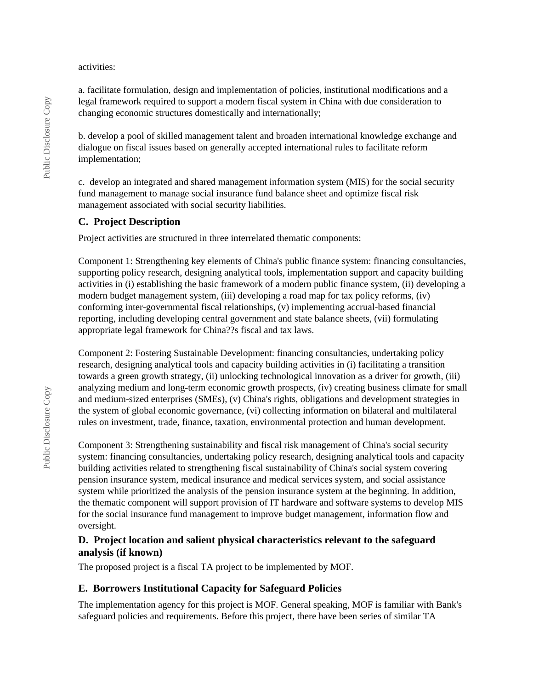#### activities:

a. facilitate formulation, design and implementation of policies, institutional modifications and a legal framework required to support a modern fiscal system in China with due consideration to changing economic structures domestically and internationally;

b. develop a pool of skilled management talent and broaden international knowledge exchange and dialogue on fiscal issues based on generally accepted international rules to facilitate reform implementation;

c. develop an integrated and shared management information system (MIS) for the social security fund management to manage social insurance fund balance sheet and optimize fiscal risk management associated with social security liabilities.

### **C. Project Description**

Project activities are structured in three interrelated thematic components:

Component 1: Strengthening key elements of China's public finance system: financing consultancies, supporting policy research, designing analytical tools, implementation support and capacity building activities in (i) establishing the basic framework of a modern public finance system, (ii) developing a modern budget management system, (iii) developing a road map for tax policy reforms, (iv) conforming inter-governmental fiscal relationships, (v) implementing accrual-based financial reporting, including developing central government and state balance sheets, (vii) formulating appropriate legal framework for China??s fiscal and tax laws.

Component 2: Fostering Sustainable Development: financing consultancies, undertaking policy research, designing analytical tools and capacity building activities in (i) facilitating a transition towards a green growth strategy, (ii) unlocking technological innovation as a driver for growth, (iii) analyzing medium and long-term economic growth prospects, (iv) creating business climate for small and medium-sized enterprises (SMEs), (v) China's rights, obligations and development strategies in the system of global economic governance, (vi) collecting information on bilateral and multilateral rules on investment, trade, finance, taxation, environmental protection and human development.

Component 3: Strengthening sustainability and fiscal risk management of China's social security system: financing consultancies, undertaking policy research, designing analytical tools and capacity building activities related to strengthening fiscal sustainability of China's social system covering pension insurance system, medical insurance and medical services system, and social assistance system while prioritized the analysis of the pension insurance system at the beginning. In addition, the thematic component will support provision of IT hardware and software systems to develop MIS for the social insurance fund management to improve budget management, information flow and oversight.

### **D. Project location and salient physical characteristics relevant to the safeguard analysis (if known)**

The proposed project is a fiscal TA project to be implemented by MOF.

#### **E. Borrowers Institutional Capacity for Safeguard Policies**

The implementation agency for this project is MOF. General speaking, MOF is familiar with Bank's safeguard policies and requirements. Before this project, there have been series of similar TA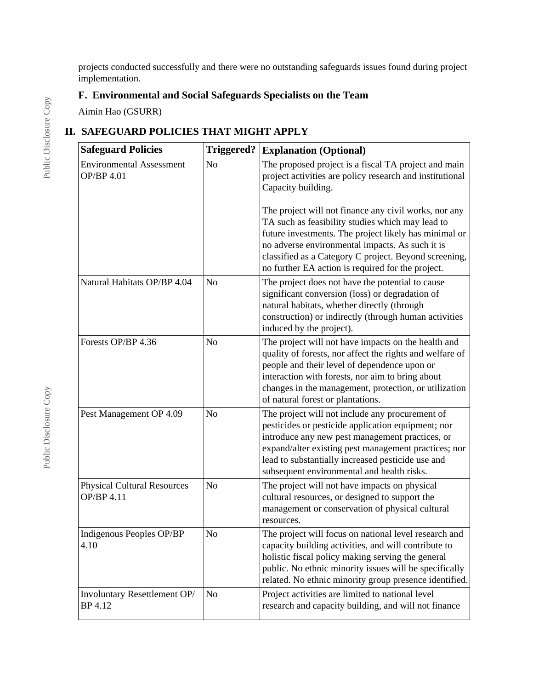projects conducted successfully and there were no outstanding safeguards issues found during project implementation.

# **F. Environmental and Social Safeguards Specialists on the Team**

Aimin Hao (GSURR)

# **II. SAFEGUARD POLICIES THAT MIGHT APPLY**

| <b>Safeguard Policies</b>                        | <b>Triggered?</b> | <b>Explanation (Optional)</b>                                                                                                                                                                                                                                                                                                                                                                                                                                                 |
|--------------------------------------------------|-------------------|-------------------------------------------------------------------------------------------------------------------------------------------------------------------------------------------------------------------------------------------------------------------------------------------------------------------------------------------------------------------------------------------------------------------------------------------------------------------------------|
| <b>Environmental Assessment</b><br>OP/BP 4.01    | N <sub>o</sub>    | The proposed project is a fiscal TA project and main<br>project activities are policy research and institutional<br>Capacity building.<br>The project will not finance any civil works, nor any<br>TA such as feasibility studies which may lead to<br>future investments. The project likely has minimal or<br>no adverse environmental impacts. As such it is<br>classified as a Category C project. Beyond screening,<br>no further EA action is required for the project. |
| Natural Habitats OP/BP 4.04                      | No                | The project does not have the potential to cause<br>significant conversion (loss) or degradation of<br>natural habitats, whether directly (through<br>construction) or indirectly (through human activities<br>induced by the project).                                                                                                                                                                                                                                       |
| Forests OP/BP 4.36                               | No                | The project will not have impacts on the health and<br>quality of forests, nor affect the rights and welfare of<br>people and their level of dependence upon or<br>interaction with forests, nor aim to bring about<br>changes in the management, protection, or utilization<br>of natural forest or plantations.                                                                                                                                                             |
| Pest Management OP 4.09                          | N <sub>o</sub>    | The project will not include any procurement of<br>pesticides or pesticide application equipment; nor<br>introduce any new pest management practices, or<br>expand/alter existing pest management practices; nor<br>lead to substantially increased pesticide use and<br>subsequent environmental and health risks.                                                                                                                                                           |
| <b>Physical Cultural Resources</b><br>OP/BP 4.11 | N <sub>o</sub>    | The project will not have impacts on physical<br>cultural resources, or designed to support the<br>management or conservation of physical cultural<br>resources.                                                                                                                                                                                                                                                                                                              |
| Indigenous Peoples OP/BP<br>4.10                 | No                | The project will focus on national level research and<br>capacity building activities, and will contribute to<br>holistic fiscal policy making serving the general<br>public. No ethnic minority issues will be specifically<br>related. No ethnic minority group presence identified.                                                                                                                                                                                        |
| Involuntary Resettlement OP/<br>BP 4.12          | N <sub>o</sub>    | Project activities are limited to national level<br>research and capacity building, and will not finance                                                                                                                                                                                                                                                                                                                                                                      |